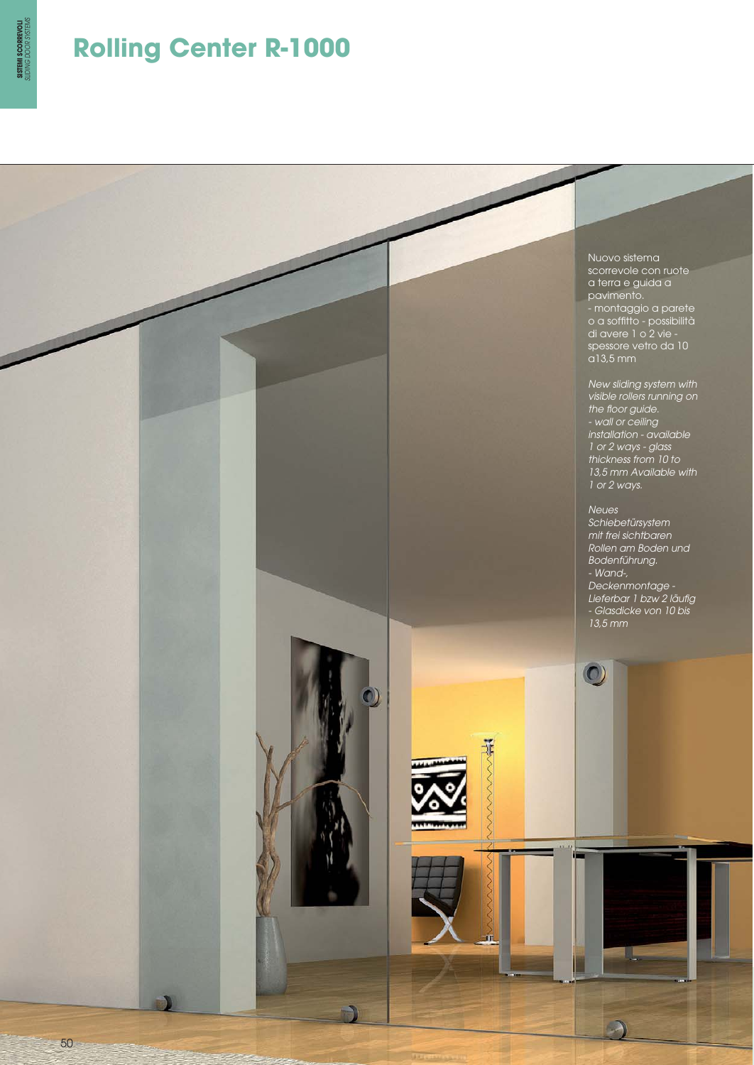

## **Rolling Center R-1000**

Nuovo sistema scorrevole con ruote a terra e guida a pavimento. - montaggio a parete o a soffitto - possibilità di avere 1 o 2 vie spessore vetro da 10 a13,5 mm

New sliding system with visible rollers running on the floor guide. - wall or ceiling installation - available 1 or 2 ways - glass thickness from 10 to 13,5 mm Available with 1 or 2 ways.

Neues Schiebetürsystem mit frei sichtbaren Rollen am Boden und Bodenführung. - Wand-, Deckenmontage - Lieferbar 1 bzw 2 läufig - Glasdicke von 10 bis 13,5 mm

 $\odot$ 



50

D)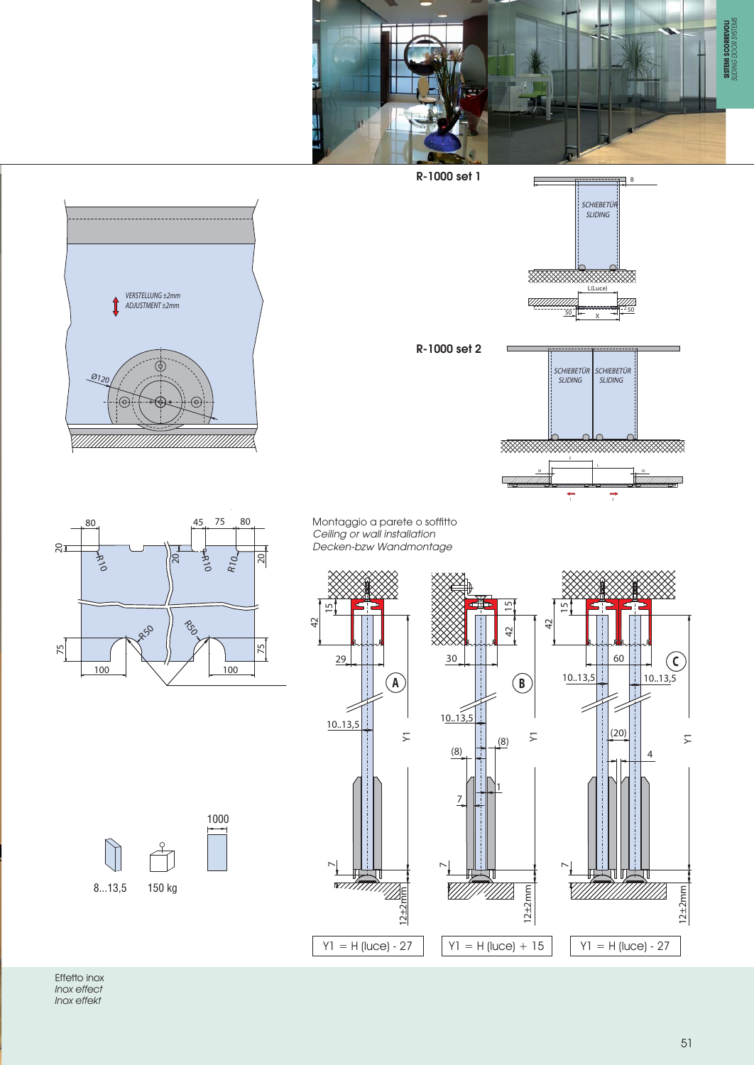



## Effetto inox Inox effect Inox effekt